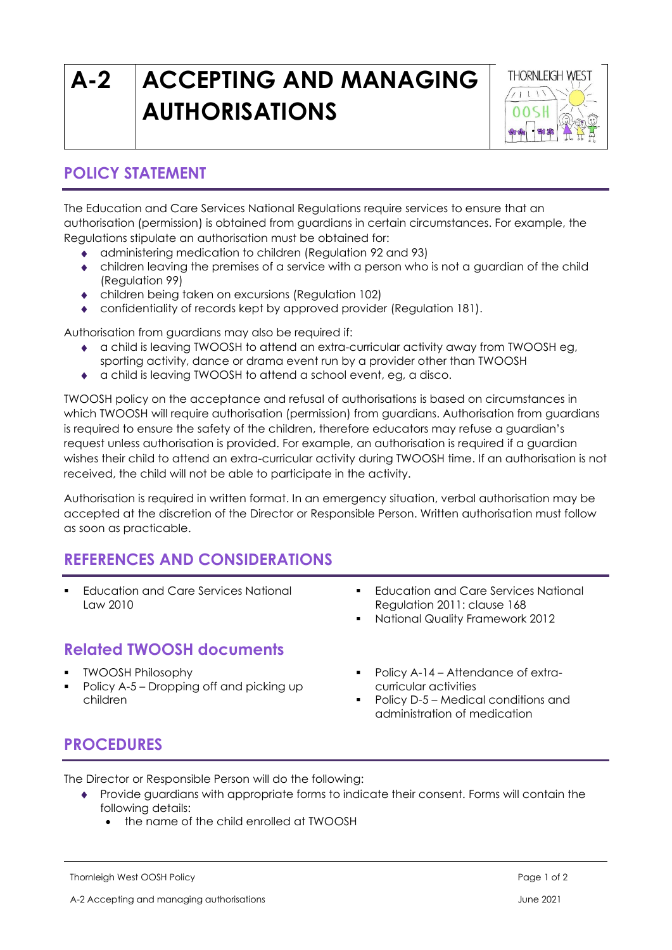# **A-2 ACCEPTING AND MANAGING AUTHORISATIONS**



## **POLICY STATEMENT**

The Education and Care Services National Regulations require services to ensure that an authorisation (permission) is obtained from guardians in certain circumstances. For example, the Regulations stipulate an authorisation must be obtained for:

- administering medication to children (Regulation 92 and 93)
- children leaving the premises of a service with a person who is not a guardian of the child (Regulation 99)
- children being taken on excursions (Regulation 102)
- confidentiality of records kept by approved provider (Regulation 181).

Authorisation from guardians may also be required if:

- a child is leaving TWOOSH to attend an extra-curricular activity away from TWOOSH eg, sporting activity, dance or drama event run by a provider other than TWOOSH
- a child is leaving TWOOSH to attend a school event, eg, a disco.

TWOOSH policy on the acceptance and refusal of authorisations is based on circumstances in which TWOOSH will require authorisation (permission) from guardians. Authorisation from guardians is required to ensure the safety of the children, therefore educators may refuse a guardian's request unless authorisation is provided. For example, an authorisation is required if a guardian wishes their child to attend an extra-curricular activity during TWOOSH time. If an authorisation is not received, the child will not be able to participate in the activity.

Authorisation is required in written format. In an emergency situation, verbal authorisation may be accepted at the discretion of the Director or Responsible Person. Written authorisation must follow as soon as practicable.

## **REFERENCES AND CONSIDERATIONS**

- **Education and Care Services National** Law 2010 ■ Education and Care Services National Regulation 2011: clause 168 National Quality Framework 2012 **Related TWOOSH documents**
- **TWOOSH Philosophy**
- Policy A-5 Dropping off and picking up children
- Policy A-14 Attendance of extracurricular activities
- Policy D-5 Medical conditions and administration of medication

#### **PROCEDURES**

The Director or Responsible Person will do the following:

- Provide guardians with appropriate forms to indicate their consent. Forms will contain the following details:
	- the name of the child enrolled at TWOOSH

Thornleigh West OOSH Policy Page 1 of 2